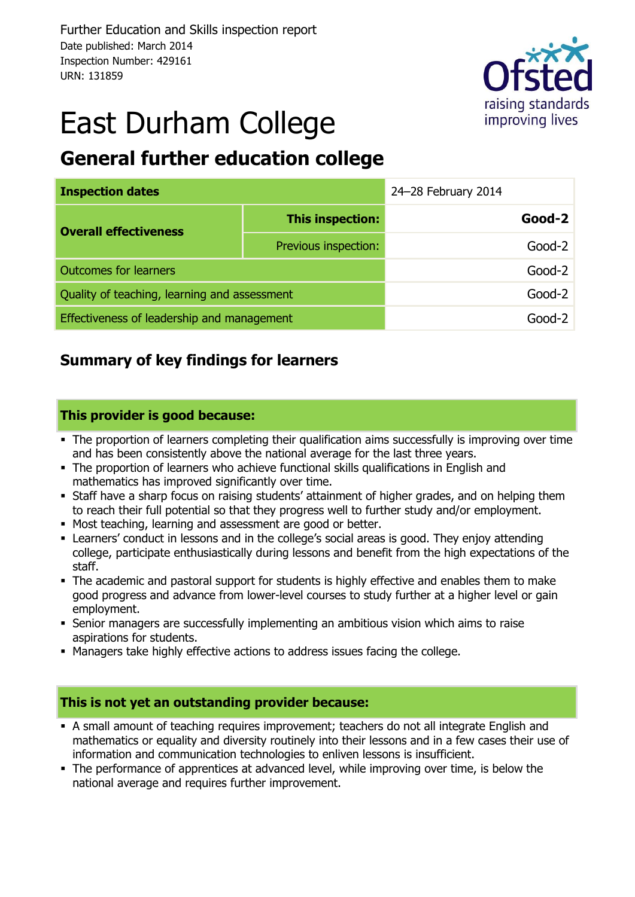

# East Durham College

### **General further education college**

| <b>Inspection dates</b>                      |                      | 24-28 February 2014 |          |
|----------------------------------------------|----------------------|---------------------|----------|
| <b>Overall effectiveness</b>                 | This inspection:     |                     | $Good-2$ |
|                                              | Previous inspection: |                     | $Good-2$ |
| <b>Outcomes for learners</b>                 |                      | $Good-2$            |          |
| Quality of teaching, learning and assessment |                      | $Good-2$            |          |
| Effectiveness of leadership and management   |                      | Good-2              |          |

### **Summary of key findings for learners**

#### **This provider is good because:**

- The proportion of learners completing their qualification aims successfully is improving over time and has been consistently above the national average for the last three years.
- The proportion of learners who achieve functional skills qualifications in English and mathematics has improved significantly over time.
- Staff have a sharp focus on raising students' attainment of higher grades, and on helping them to reach their full potential so that they progress well to further study and/or employment.
- Most teaching, learning and assessment are good or better.
- Learners' conduct in lessons and in the college's social areas is good. They enjoy attending college, participate enthusiastically during lessons and benefit from the high expectations of the staff.
- The academic and pastoral support for students is highly effective and enables them to make good progress and advance from lower-level courses to study further at a higher level or gain employment.
- Senior managers are successfully implementing an ambitious vision which aims to raise aspirations for students.
- Managers take highly effective actions to address issues facing the college.

#### **This is not yet an outstanding provider because:**

- A small amount of teaching requires improvement; teachers do not all integrate English and mathematics or equality and diversity routinely into their lessons and in a few cases their use of information and communication technologies to enliven lessons is insufficient.
- The performance of apprentices at advanced level, while improving over time, is below the national average and requires further improvement.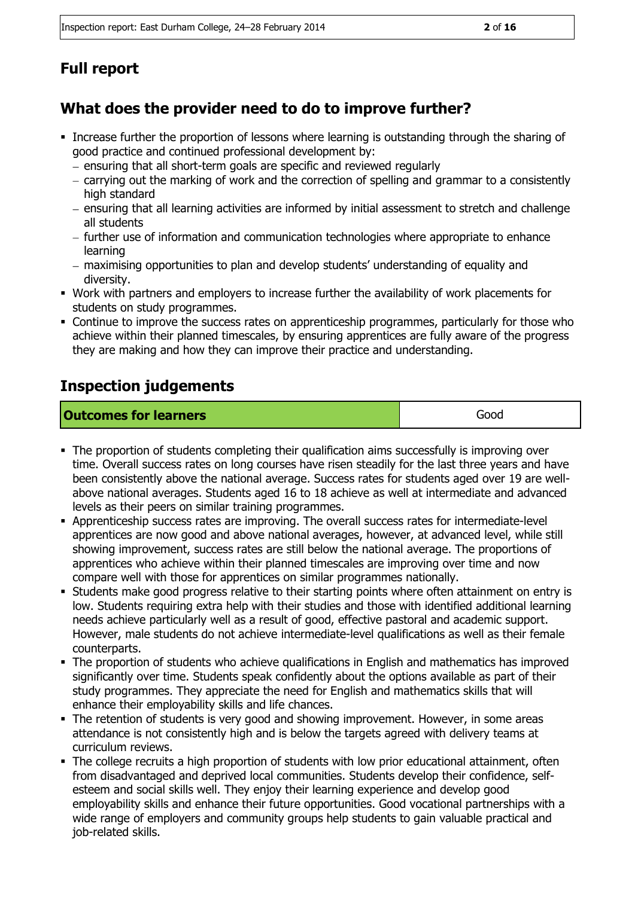### **Full report**

### **What does the provider need to do to improve further?**

- Increase further the proportion of lessons where learning is outstanding through the sharing of good practice and continued professional development by:
	- ensuring that all short-term goals are specific and reviewed regularly
	- carrying out the marking of work and the correction of spelling and grammar to a consistently high standard
	- ensuring that all learning activities are informed by initial assessment to stretch and challenge all students
	- further use of information and communication technologies where appropriate to enhance learning
	- maximising opportunities to plan and develop students' understanding of equality and diversity.
- Work with partners and employers to increase further the availability of work placements for students on study programmes.
- Continue to improve the success rates on apprenticeship programmes, particularly for those who achieve within their planned timescales, by ensuring apprentices are fully aware of the progress they are making and how they can improve their practice and understanding.

### **Inspection judgements**

| <b>Outcomes for learners</b> | Good |
|------------------------------|------|
|------------------------------|------|

- The proportion of students completing their qualification aims successfully is improving over time. Overall success rates on long courses have risen steadily for the last three years and have been consistently above the national average. Success rates for students aged over 19 are wellabove national averages. Students aged 16 to 18 achieve as well at intermediate and advanced levels as their peers on similar training programmes.
- Apprenticeship success rates are improving. The overall success rates for intermediate-level apprentices are now good and above national averages, however, at advanced level, while still showing improvement, success rates are still below the national average. The proportions of apprentices who achieve within their planned timescales are improving over time and now compare well with those for apprentices on similar programmes nationally.
- Students make good progress relative to their starting points where often attainment on entry is low. Students requiring extra help with their studies and those with identified additional learning needs achieve particularly well as a result of good, effective pastoral and academic support. However, male students do not achieve intermediate-level qualifications as well as their female counterparts.
- The proportion of students who achieve qualifications in English and mathematics has improved significantly over time. Students speak confidently about the options available as part of their study programmes. They appreciate the need for English and mathematics skills that will enhance their employability skills and life chances.
- The retention of students is very good and showing improvement. However, in some areas attendance is not consistently high and is below the targets agreed with delivery teams at curriculum reviews.
- The college recruits a high proportion of students with low prior educational attainment, often from disadvantaged and deprived local communities. Students develop their confidence, selfesteem and social skills well. They enjoy their learning experience and develop good employability skills and enhance their future opportunities. Good vocational partnerships with a wide range of employers and community groups help students to gain valuable practical and job-related skills.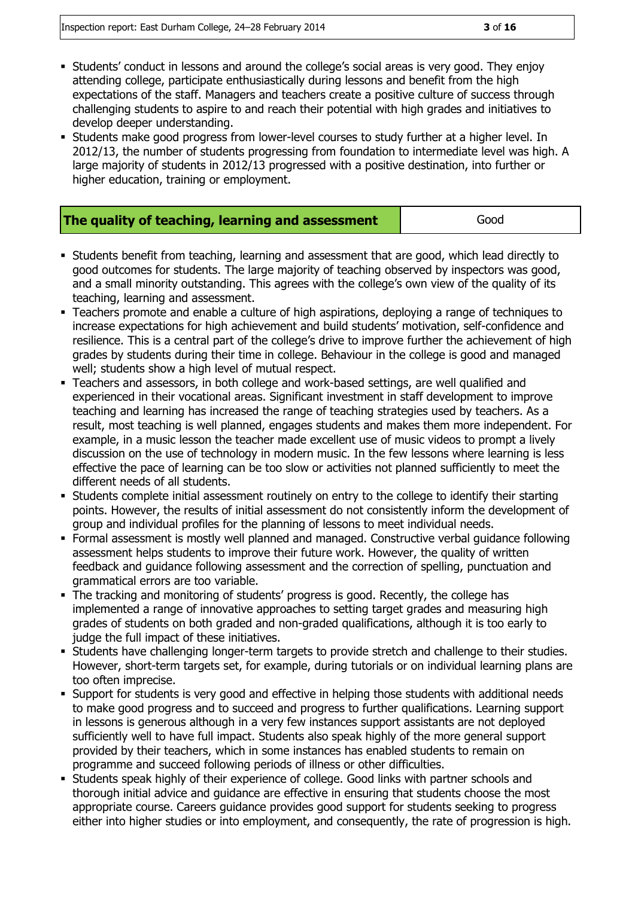- Students' conduct in lessons and around the college's social areas is very good. They enjoy attending college, participate enthusiastically during lessons and benefit from the high expectations of the staff. Managers and teachers create a positive culture of success through challenging students to aspire to and reach their potential with high grades and initiatives to develop deeper understanding.
- Students make good progress from lower-level courses to study further at a higher level. In 2012/13, the number of students progressing from foundation to intermediate level was high. A large majority of students in 2012/13 progressed with a positive destination, into further or higher education, training or employment.

| The quality of teaching, learning and assessment | Good |
|--------------------------------------------------|------|
|--------------------------------------------------|------|

- Students benefit from teaching, learning and assessment that are good, which lead directly to good outcomes for students. The large majority of teaching observed by inspectors was good, and a small minority outstanding. This agrees with the college's own view of the quality of its teaching, learning and assessment.
- Teachers promote and enable a culture of high aspirations, deploying a range of techniques to increase expectations for high achievement and build students' motivation, self-confidence and resilience. This is a central part of the college's drive to improve further the achievement of high grades by students during their time in college. Behaviour in the college is good and managed well; students show a high level of mutual respect.
- Teachers and assessors, in both college and work-based settings, are well qualified and experienced in their vocational areas. Significant investment in staff development to improve teaching and learning has increased the range of teaching strategies used by teachers. As a result, most teaching is well planned, engages students and makes them more independent. For example, in a music lesson the teacher made excellent use of music videos to prompt a lively discussion on the use of technology in modern music. In the few lessons where learning is less effective the pace of learning can be too slow or activities not planned sufficiently to meet the different needs of all students.
- Students complete initial assessment routinely on entry to the college to identify their starting points. However, the results of initial assessment do not consistently inform the development of group and individual profiles for the planning of lessons to meet individual needs.
- Formal assessment is mostly well planned and managed. Constructive verbal guidance following assessment helps students to improve their future work. However, the quality of written feedback and guidance following assessment and the correction of spelling, punctuation and grammatical errors are too variable.
- The tracking and monitoring of students' progress is good. Recently, the college has implemented a range of innovative approaches to setting target grades and measuring high grades of students on both graded and non-graded qualifications, although it is too early to judge the full impact of these initiatives.
- Students have challenging longer-term targets to provide stretch and challenge to their studies. However, short-term targets set, for example, during tutorials or on individual learning plans are too often imprecise.
- Support for students is very good and effective in helping those students with additional needs to make good progress and to succeed and progress to further qualifications. Learning support in lessons is generous although in a very few instances support assistants are not deployed sufficiently well to have full impact. Students also speak highly of the more general support provided by their teachers, which in some instances has enabled students to remain on programme and succeed following periods of illness or other difficulties.
- Students speak highly of their experience of college. Good links with partner schools and thorough initial advice and guidance are effective in ensuring that students choose the most appropriate course. Careers guidance provides good support for students seeking to progress either into higher studies or into employment, and consequently, the rate of progression is high.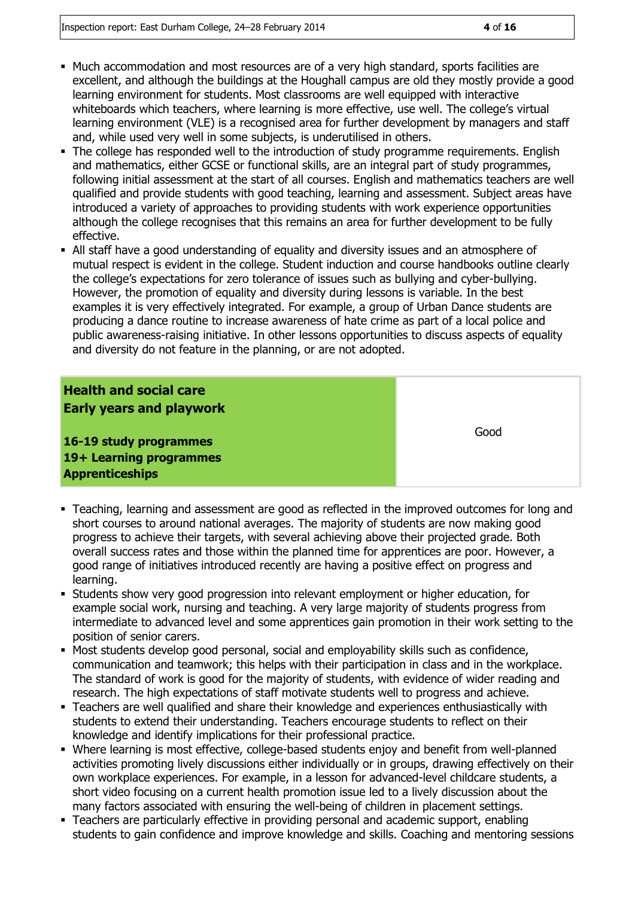- Much accommodation and most resources are of a very high standard, sports facilities are excellent, and although the buildings at the Houghall campus are old they mostly provide a good learning environment for students. Most classrooms are well equipped with interactive whiteboards which teachers, where learning is more effective, use well. The college's virtual learning environment (VLE) is a recognised area for further development by managers and staff and, while used very well in some subjects, is underutilised in others.
- The college has responded well to the introduction of study programme requirements. English and mathematics, either GCSE or functional skills, are an integral part of study programmes, following initial assessment at the start of all courses. English and mathematics teachers are well qualified and provide students with good teaching, learning and assessment. Subject areas have introduced a variety of approaches to providing students with work experience opportunities although the college recognises that this remains an area for further development to be fully effective.
- All staff have a good understanding of equality and diversity issues and an atmosphere of mutual respect is evident in the college. Student induction and course handbooks outline clearly the college's expectations for zero tolerance of issues such as bullying and cyber-bullying. However, the promotion of equality and diversity during lessons is variable. In the best examples it is very effectively integrated. For example, a group of Urban Dance students are producing a dance routine to increase awareness of hate crime as part of a local police and public awareness-raising initiative. In other lessons opportunities to discuss aspects of equality and diversity do not feature in the planning, or are not adopted.

#### **Health and social care Early years and playwork**

**16-19 study programmes 19+ Learning programmes Apprenticeships**

Good

- Teaching, learning and assessment are good as reflected in the improved outcomes for long and short courses to around national averages. The majority of students are now making good progress to achieve their targets, with several achieving above their projected grade. Both overall success rates and those within the planned time for apprentices are poor. However, a good range of initiatives introduced recently are having a positive effect on progress and learning.
- Students show very good progression into relevant employment or higher education, for example social work, nursing and teaching. A very large majority of students progress from intermediate to advanced level and some apprentices gain promotion in their work setting to the position of senior carers.
- Most students develop good personal, social and employability skills such as confidence, communication and teamwork; this helps with their participation in class and in the workplace. The standard of work is good for the majority of students, with evidence of wider reading and research. The high expectations of staff motivate students well to progress and achieve.
- Teachers are well qualified and share their knowledge and experiences enthusiastically with students to extend their understanding. Teachers encourage students to reflect on their knowledge and identify implications for their professional practice.
- Where learning is most effective, college-based students enjoy and benefit from well-planned activities promoting lively discussions either individually or in groups, drawing effectively on their own workplace experiences. For example, in a lesson for advanced-level childcare students, a short video focusing on a current health promotion issue led to a lively discussion about the many factors associated with ensuring the well-being of children in placement settings.
- Teachers are particularly effective in providing personal and academic support, enabling students to gain confidence and improve knowledge and skills. Coaching and mentoring sessions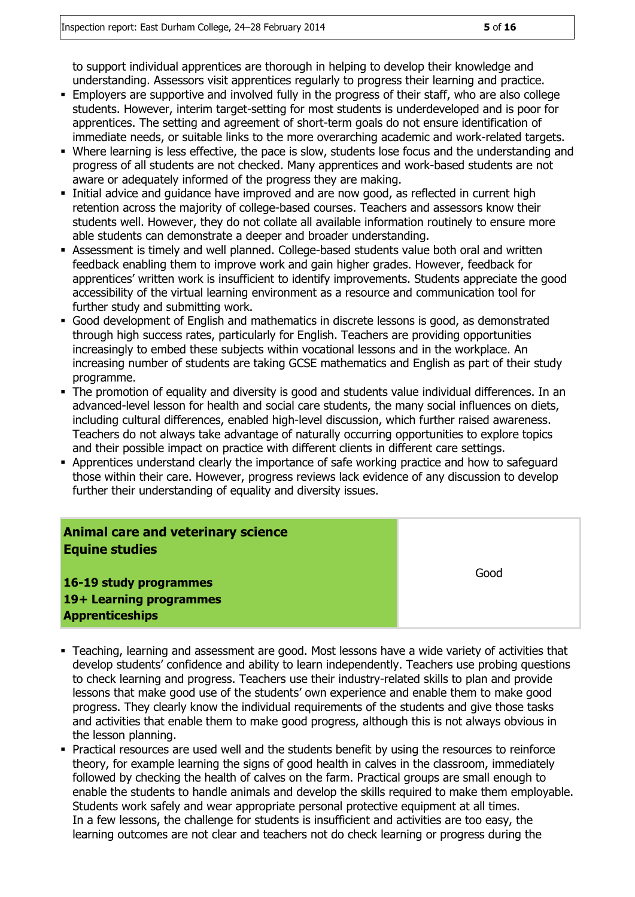to support individual apprentices are thorough in helping to develop their knowledge and understanding. Assessors visit apprentices regularly to progress their learning and practice.

- Employers are supportive and involved fully in the progress of their staff, who are also college students. However, interim target-setting for most students is underdeveloped and is poor for apprentices. The setting and agreement of short-term goals do not ensure identification of immediate needs, or suitable links to the more overarching academic and work-related targets.
- Where learning is less effective, the pace is slow, students lose focus and the understanding and progress of all students are not checked. Many apprentices and work-based students are not aware or adequately informed of the progress they are making.
- Initial advice and guidance have improved and are now good, as reflected in current high retention across the majority of college-based courses. Teachers and assessors know their students well. However, they do not collate all available information routinely to ensure more able students can demonstrate a deeper and broader understanding.
- Assessment is timely and well planned. College-based students value both oral and written feedback enabling them to improve work and gain higher grades. However, feedback for apprentices' written work is insufficient to identify improvements. Students appreciate the good accessibility of the virtual learning environment as a resource and communication tool for further study and submitting work.
- Good development of English and mathematics in discrete lessons is good, as demonstrated through high success rates, particularly for English. Teachers are providing opportunities increasingly to embed these subjects within vocational lessons and in the workplace. An increasing number of students are taking GCSE mathematics and English as part of their study programme.
- The promotion of equality and diversity is good and students value individual differences. In an advanced-level lesson for health and social care students, the many social influences on diets, including cultural differences, enabled high-level discussion, which further raised awareness. Teachers do not always take advantage of naturally occurring opportunities to explore topics and their possible impact on practice with different clients in different care settings.
- Apprentices understand clearly the importance of safe working practice and how to safeguard those within their care. However, progress reviews lack evidence of any discussion to develop further their understanding of equality and diversity issues.

| <b>Animal care and veterinary science</b><br><b>Equine studies</b> |      |
|--------------------------------------------------------------------|------|
| 16-19 study programmes<br>19+ Learning programmes                  | Good |
| <b>Apprenticeships</b>                                             |      |

- Teaching, learning and assessment are good. Most lessons have a wide variety of activities that develop students' confidence and ability to learn independently. Teachers use probing questions to check learning and progress. Teachers use their industry-related skills to plan and provide lessons that make good use of the students' own experience and enable them to make good progress. They clearly know the individual requirements of the students and give those tasks and activities that enable them to make good progress, although this is not always obvious in the lesson planning.
- Practical resources are used well and the students benefit by using the resources to reinforce theory, for example learning the signs of good health in calves in the classroom, immediately followed by checking the health of calves on the farm. Practical groups are small enough to enable the students to handle animals and develop the skills required to make them employable. Students work safely and wear appropriate personal protective equipment at all times. In a few lessons, the challenge for students is insufficient and activities are too easy, the learning outcomes are not clear and teachers not do check learning or progress during the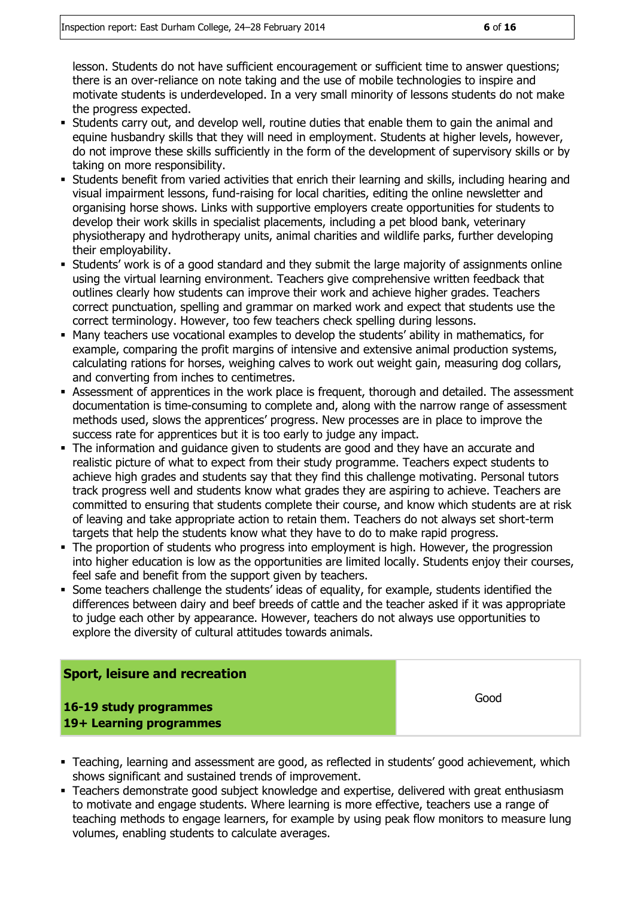lesson. Students do not have sufficient encouragement or sufficient time to answer questions; there is an over-reliance on note taking and the use of mobile technologies to inspire and motivate students is underdeveloped. In a very small minority of lessons students do not make the progress expected.

- Students carry out, and develop well, routine duties that enable them to gain the animal and equine husbandry skills that they will need in employment. Students at higher levels, however, do not improve these skills sufficiently in the form of the development of supervisory skills or by taking on more responsibility.
- Students benefit from varied activities that enrich their learning and skills, including hearing and visual impairment lessons, fund-raising for local charities, editing the online newsletter and organising horse shows. Links with supportive employers create opportunities for students to develop their work skills in specialist placements, including a pet blood bank, veterinary physiotherapy and hydrotherapy units, animal charities and wildlife parks, further developing their employability.
- Students' work is of a good standard and they submit the large majority of assignments online using the virtual learning environment. Teachers give comprehensive written feedback that outlines clearly how students can improve their work and achieve higher grades. Teachers correct punctuation, spelling and grammar on marked work and expect that students use the correct terminology. However, too few teachers check spelling during lessons.
- Many teachers use vocational examples to develop the students' ability in mathematics, for example, comparing the profit margins of intensive and extensive animal production systems, calculating rations for horses, weighing calves to work out weight gain, measuring dog collars, and converting from inches to centimetres.
- Assessment of apprentices in the work place is frequent, thorough and detailed. The assessment documentation is time-consuming to complete and, along with the narrow range of assessment methods used, slows the apprentices' progress. New processes are in place to improve the success rate for apprentices but it is too early to judge any impact.
- The information and guidance given to students are good and they have an accurate and realistic picture of what to expect from their study programme. Teachers expect students to achieve high grades and students say that they find this challenge motivating. Personal tutors track progress well and students know what grades they are aspiring to achieve. Teachers are committed to ensuring that students complete their course, and know which students are at risk of leaving and take appropriate action to retain them. Teachers do not always set short-term targets that help the students know what they have to do to make rapid progress.
- The proportion of students who progress into employment is high. However, the progression into higher education is low as the opportunities are limited locally. Students enjoy their courses, feel safe and benefit from the support given by teachers.
- Some teachers challenge the students' ideas of equality, for example, students identified the differences between dairy and beef breeds of cattle and the teacher asked if it was appropriate to judge each other by appearance. However, teachers do not always use opportunities to explore the diversity of cultural attitudes towards animals.

#### **Sport, leisure and recreation**

**16-19 study programmes 19+ Learning programmes** Good

- Teaching, learning and assessment are good, as reflected in students' good achievement, which shows significant and sustained trends of improvement.
- Teachers demonstrate good subject knowledge and expertise, delivered with great enthusiasm to motivate and engage students. Where learning is more effective, teachers use a range of teaching methods to engage learners, for example by using peak flow monitors to measure lung volumes, enabling students to calculate averages.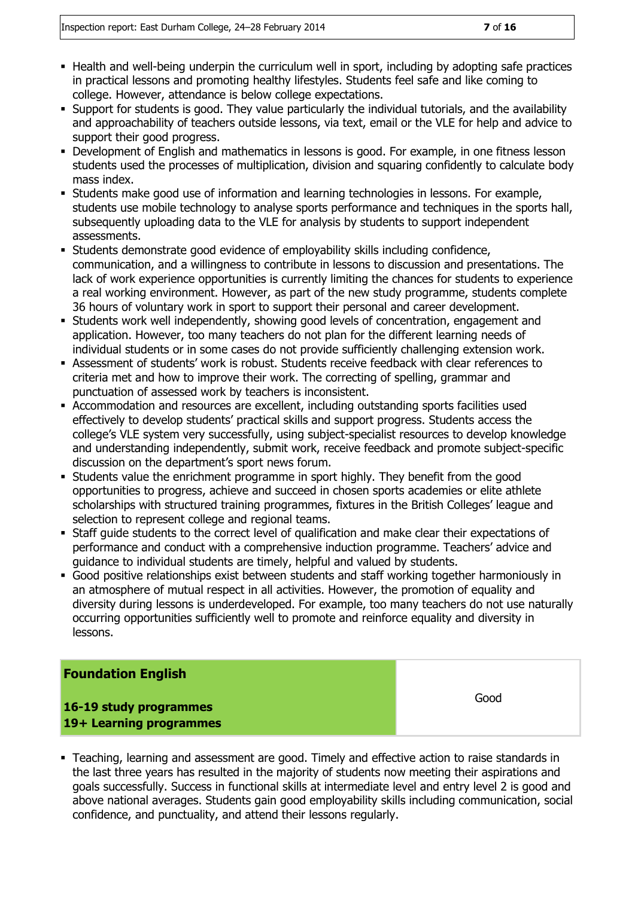- Health and well-being underpin the curriculum well in sport, including by adopting safe practices in practical lessons and promoting healthy lifestyles. Students feel safe and like coming to college. However, attendance is below college expectations.
- Support for students is good. They value particularly the individual tutorials, and the availability and approachability of teachers outside lessons, via text, email or the VLE for help and advice to support their good progress.
- Development of English and mathematics in lessons is good. For example, in one fitness lesson students used the processes of multiplication, division and squaring confidently to calculate body mass index.
- Students make good use of information and learning technologies in lessons. For example, students use mobile technology to analyse sports performance and techniques in the sports hall, subsequently uploading data to the VLE for analysis by students to support independent assessments.
- Students demonstrate good evidence of employability skills including confidence, communication, and a willingness to contribute in lessons to discussion and presentations. The lack of work experience opportunities is currently limiting the chances for students to experience a real working environment. However, as part of the new study programme, students complete 36 hours of voluntary work in sport to support their personal and career development.
- Students work well independently, showing good levels of concentration, engagement and application. However, too many teachers do not plan for the different learning needs of individual students or in some cases do not provide sufficiently challenging extension work.
- Assessment of students' work is robust. Students receive feedback with clear references to criteria met and how to improve their work. The correcting of spelling, grammar and punctuation of assessed work by teachers is inconsistent.
- Accommodation and resources are excellent, including outstanding sports facilities used effectively to develop students' practical skills and support progress. Students access the college's VLE system very successfully, using subject-specialist resources to develop knowledge and understanding independently, submit work, receive feedback and promote subject-specific discussion on the department's sport news forum.
- Students value the enrichment programme in sport highly. They benefit from the good opportunities to progress, achieve and succeed in chosen sports academies or elite athlete scholarships with structured training programmes, fixtures in the British Colleges' league and selection to represent college and regional teams.
- Staff guide students to the correct level of qualification and make clear their expectations of performance and conduct with a comprehensive induction programme. Teachers' advice and guidance to individual students are timely, helpful and valued by students.
- Good positive relationships exist between students and staff working together harmoniously in an atmosphere of mutual respect in all activities. However, the promotion of equality and diversity during lessons is underdeveloped. For example, too many teachers do not use naturally occurring opportunities sufficiently well to promote and reinforce equality and diversity in lessons.

#### **Foundation English**

**16-19 study programmes 19+ Learning programmes** Good

 Teaching, learning and assessment are good. Timely and effective action to raise standards in the last three years has resulted in the majority of students now meeting their aspirations and goals successfully. Success in functional skills at intermediate level and entry level 2 is good and above national averages. Students gain good employability skills including communication, social confidence, and punctuality, and attend their lessons regularly.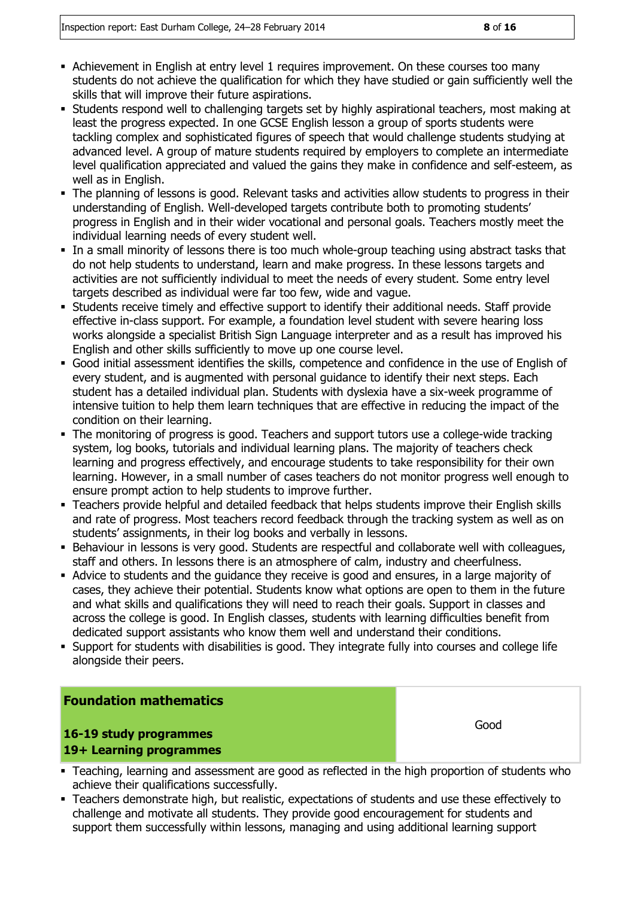- Achievement in English at entry level 1 requires improvement. On these courses too many students do not achieve the qualification for which they have studied or gain sufficiently well the skills that will improve their future aspirations.
- Students respond well to challenging targets set by highly aspirational teachers, most making at least the progress expected. In one GCSE English lesson a group of sports students were tackling complex and sophisticated figures of speech that would challenge students studying at advanced level. A group of mature students required by employers to complete an intermediate level qualification appreciated and valued the gains they make in confidence and self-esteem, as well as in English.
- The planning of lessons is good. Relevant tasks and activities allow students to progress in their understanding of English. Well-developed targets contribute both to promoting students' progress in English and in their wider vocational and personal goals. Teachers mostly meet the individual learning needs of every student well.
- In a small minority of lessons there is too much whole-group teaching using abstract tasks that do not help students to understand, learn and make progress. In these lessons targets and activities are not sufficiently individual to meet the needs of every student. Some entry level targets described as individual were far too few, wide and vague.
- Students receive timely and effective support to identify their additional needs. Staff provide effective in-class support. For example, a foundation level student with severe hearing loss works alongside a specialist British Sign Language interpreter and as a result has improved his English and other skills sufficiently to move up one course level.
- Good initial assessment identifies the skills, competence and confidence in the use of English of every student, and is augmented with personal guidance to identify their next steps. Each student has a detailed individual plan. Students with dyslexia have a six-week programme of intensive tuition to help them learn techniques that are effective in reducing the impact of the condition on their learning.
- The monitoring of progress is good. Teachers and support tutors use a college-wide tracking system, log books, tutorials and individual learning plans. The majority of teachers check learning and progress effectively, and encourage students to take responsibility for their own learning. However, in a small number of cases teachers do not monitor progress well enough to ensure prompt action to help students to improve further.
- Teachers provide helpful and detailed feedback that helps students improve their English skills and rate of progress. Most teachers record feedback through the tracking system as well as on students' assignments, in their log books and verbally in lessons.
- Behaviour in lessons is very good. Students are respectful and collaborate well with colleagues, staff and others. In lessons there is an atmosphere of calm, industry and cheerfulness.
- Advice to students and the guidance they receive is good and ensures, in a large majority of cases, they achieve their potential. Students know what options are open to them in the future and what skills and qualifications they will need to reach their goals. Support in classes and across the college is good. In English classes, students with learning difficulties benefit from dedicated support assistants who know them well and understand their conditions.
- Support for students with disabilities is good. They integrate fully into courses and college life alongside their peers.

#### **Foundation mathematics**

#### **16-19 study programmes 19+ Learning programmes**

Good

- Teaching, learning and assessment are good as reflected in the high proportion of students who achieve their qualifications successfully.
- Teachers demonstrate high, but realistic, expectations of students and use these effectively to challenge and motivate all students. They provide good encouragement for students and support them successfully within lessons, managing and using additional learning support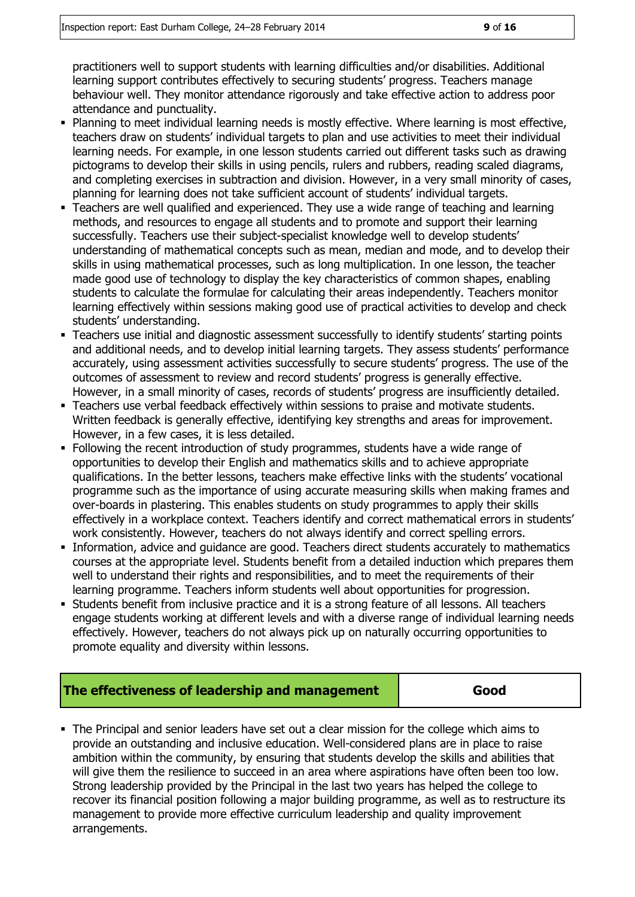practitioners well to support students with learning difficulties and/or disabilities. Additional learning support contributes effectively to securing students' progress. Teachers manage behaviour well. They monitor attendance rigorously and take effective action to address poor attendance and punctuality.

- Planning to meet individual learning needs is mostly effective. Where learning is most effective, teachers draw on students' individual targets to plan and use activities to meet their individual learning needs. For example, in one lesson students carried out different tasks such as drawing pictograms to develop their skills in using pencils, rulers and rubbers, reading scaled diagrams, and completing exercises in subtraction and division. However, in a very small minority of cases, planning for learning does not take sufficient account of students' individual targets.
- Teachers are well qualified and experienced. They use a wide range of teaching and learning methods, and resources to engage all students and to promote and support their learning successfully. Teachers use their subject-specialist knowledge well to develop students' understanding of mathematical concepts such as mean, median and mode, and to develop their skills in using mathematical processes, such as long multiplication. In one lesson, the teacher made good use of technology to display the key characteristics of common shapes, enabling students to calculate the formulae for calculating their areas independently. Teachers monitor learning effectively within sessions making good use of practical activities to develop and check students' understanding.
- Teachers use initial and diagnostic assessment successfully to identify students' starting points and additional needs, and to develop initial learning targets. They assess students' performance accurately, using assessment activities successfully to secure students' progress. The use of the outcomes of assessment to review and record students' progress is generally effective. However, in a small minority of cases, records of students' progress are insufficiently detailed.
- Teachers use verbal feedback effectively within sessions to praise and motivate students. Written feedback is generally effective, identifying key strengths and areas for improvement. However, in a few cases, it is less detailed.
- Following the recent introduction of study programmes, students have a wide range of opportunities to develop their English and mathematics skills and to achieve appropriate qualifications. In the better lessons, teachers make effective links with the students' vocational programme such as the importance of using accurate measuring skills when making frames and over-boards in plastering. This enables students on study programmes to apply their skills effectively in a workplace context. Teachers identify and correct mathematical errors in students' work consistently. However, teachers do not always identify and correct spelling errors.
- Information, advice and guidance are good. Teachers direct students accurately to mathematics courses at the appropriate level. Students benefit from a detailed induction which prepares them well to understand their rights and responsibilities, and to meet the requirements of their learning programme. Teachers inform students well about opportunities for progression.
- Students benefit from inclusive practice and it is a strong feature of all lessons. All teachers engage students working at different levels and with a diverse range of individual learning needs effectively. However, teachers do not always pick up on naturally occurring opportunities to promote equality and diversity within lessons.

#### **The effectiveness of leadership and management**

 The Principal and senior leaders have set out a clear mission for the college which aims to provide an outstanding and inclusive education. Well-considered plans are in place to raise ambition within the community, by ensuring that students develop the skills and abilities that will give them the resilience to succeed in an area where aspirations have often been too low. Strong leadership provided by the Principal in the last two years has helped the college to recover its financial position following a major building programme, as well as to restructure its management to provide more effective curriculum leadership and quality improvement arrangements.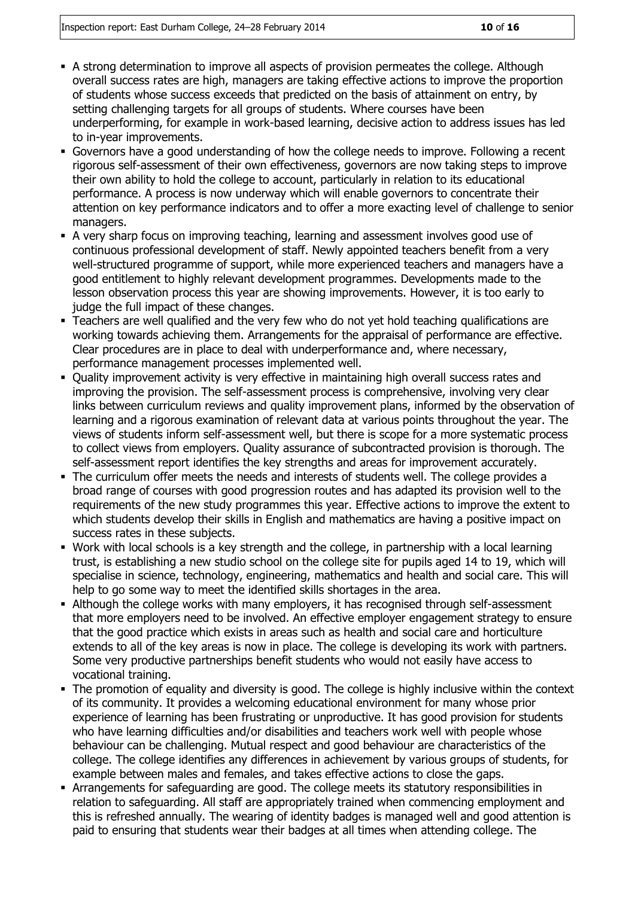- A strong determination to improve all aspects of provision permeates the college. Although overall success rates are high, managers are taking effective actions to improve the proportion of students whose success exceeds that predicted on the basis of attainment on entry, by setting challenging targets for all groups of students. Where courses have been underperforming, for example in work-based learning, decisive action to address issues has led to in-year improvements.
- Governors have a good understanding of how the college needs to improve. Following a recent rigorous self-assessment of their own effectiveness, governors are now taking steps to improve their own ability to hold the college to account, particularly in relation to its educational performance. A process is now underway which will enable governors to concentrate their attention on key performance indicators and to offer a more exacting level of challenge to senior managers.
- A very sharp focus on improving teaching, learning and assessment involves good use of continuous professional development of staff. Newly appointed teachers benefit from a very well-structured programme of support, while more experienced teachers and managers have a good entitlement to highly relevant development programmes. Developments made to the lesson observation process this year are showing improvements. However, it is too early to judge the full impact of these changes.
- Teachers are well qualified and the very few who do not yet hold teaching qualifications are working towards achieving them. Arrangements for the appraisal of performance are effective. Clear procedures are in place to deal with underperformance and, where necessary, performance management processes implemented well.
- Ouality improvement activity is very effective in maintaining high overall success rates and improving the provision. The self-assessment process is comprehensive, involving very clear links between curriculum reviews and quality improvement plans, informed by the observation of learning and a rigorous examination of relevant data at various points throughout the year. The views of students inform self-assessment well, but there is scope for a more systematic process to collect views from employers. Quality assurance of subcontracted provision is thorough. The self-assessment report identifies the key strengths and areas for improvement accurately.
- The curriculum offer meets the needs and interests of students well. The college provides a broad range of courses with good progression routes and has adapted its provision well to the requirements of the new study programmes this year. Effective actions to improve the extent to which students develop their skills in English and mathematics are having a positive impact on success rates in these subjects.
- Work with local schools is a key strength and the college, in partnership with a local learning trust, is establishing a new studio school on the college site for pupils aged 14 to 19, which will specialise in science, technology, engineering, mathematics and health and social care. This will help to go some way to meet the identified skills shortages in the area.
- Although the college works with many employers, it has recognised through self-assessment that more employers need to be involved. An effective employer engagement strategy to ensure that the good practice which exists in areas such as health and social care and horticulture extends to all of the key areas is now in place. The college is developing its work with partners. Some very productive partnerships benefit students who would not easily have access to vocational training.
- The promotion of equality and diversity is good. The college is highly inclusive within the context of its community. It provides a welcoming educational environment for many whose prior experience of learning has been frustrating or unproductive. It has good provision for students who have learning difficulties and/or disabilities and teachers work well with people whose behaviour can be challenging. Mutual respect and good behaviour are characteristics of the college. The college identifies any differences in achievement by various groups of students, for example between males and females, and takes effective actions to close the gaps.
- Arrangements for safeguarding are good. The college meets its statutory responsibilities in relation to safeguarding. All staff are appropriately trained when commencing employment and this is refreshed annually. The wearing of identity badges is managed well and good attention is paid to ensuring that students wear their badges at all times when attending college. The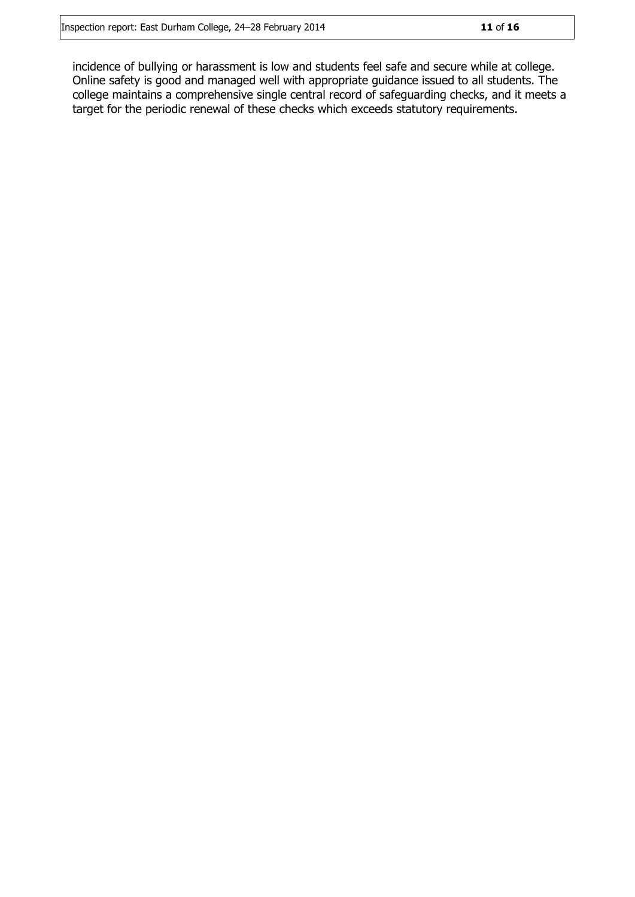incidence of bullying or harassment is low and students feel safe and secure while at college. Online safety is good and managed well with appropriate guidance issued to all students. The college maintains a comprehensive single central record of safeguarding checks, and it meets a target for the periodic renewal of these checks which exceeds statutory requirements.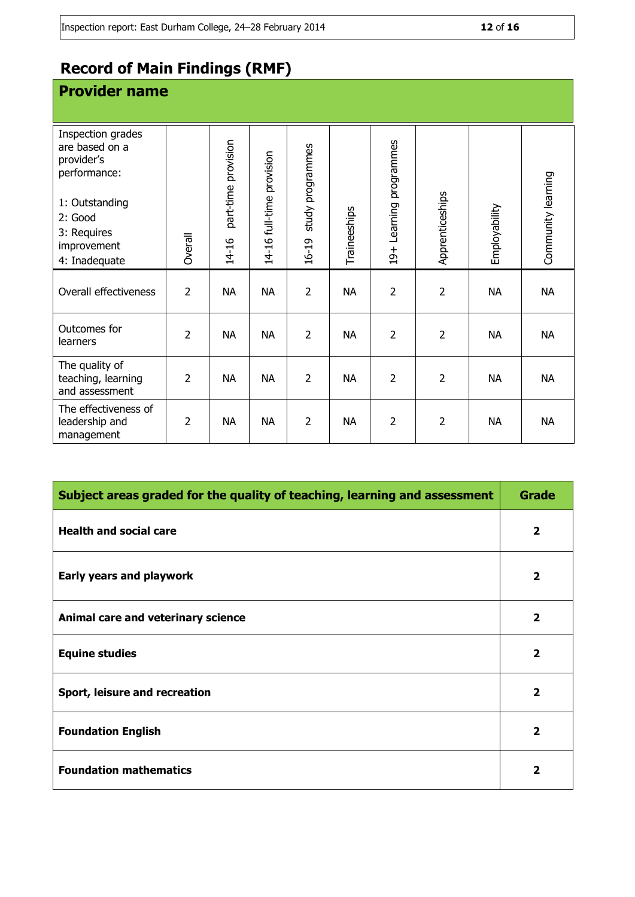### **Record of Main Findings (RMF)**

| <b>Provider name</b>                                                                                                                          |                |                              |                           |                           |              |                                      |                 |               |                    |
|-----------------------------------------------------------------------------------------------------------------------------------------------|----------------|------------------------------|---------------------------|---------------------------|--------------|--------------------------------------|-----------------|---------------|--------------------|
| Inspection grades<br>are based on a<br>provider's<br>performance:<br>1: Outstanding<br>2: Good<br>3: Requires<br>improvement<br>4: Inadequate | Overall        | part-time provision<br>14-16 | 14-16 full-time provision | study programmes<br>16-19 | Traineeships | Learning programmes<br>$\frac{+}{2}$ | Apprenticeships | Employability | Community learning |
| Overall effectiveness                                                                                                                         | $\overline{2}$ | <b>NA</b>                    | <b>NA</b>                 | $\overline{2}$            | <b>NA</b>    | $\overline{2}$                       | $\overline{2}$  | <b>NA</b>     | <b>NA</b>          |
| Outcomes for<br>learners                                                                                                                      | $\overline{2}$ | <b>NA</b>                    | <b>NA</b>                 | $\overline{2}$            | <b>NA</b>    | $\overline{2}$                       | $\overline{2}$  | <b>NA</b>     | <b>NA</b>          |
| The quality of<br>teaching, learning<br>and assessment                                                                                        | $\overline{2}$ | <b>NA</b>                    | <b>NA</b>                 | $\overline{2}$            | <b>NA</b>    | $\overline{2}$                       | $\overline{2}$  | <b>NA</b>     | <b>NA</b>          |
| The effectiveness of<br>leadership and<br>management                                                                                          | $\overline{2}$ | <b>NA</b>                    | <b>NA</b>                 | $\overline{2}$            | <b>NA</b>    | $\overline{2}$                       | $\overline{2}$  | <b>NA</b>     | <b>NA</b>          |

| Subject areas graded for the quality of teaching, learning and assessment |                         |  |  |
|---------------------------------------------------------------------------|-------------------------|--|--|
| <b>Health and social care</b>                                             | $\mathbf{2}$            |  |  |
| Early years and playwork                                                  | $\overline{\mathbf{2}}$ |  |  |
| Animal care and veterinary science                                        | $\overline{\mathbf{2}}$ |  |  |
| <b>Equine studies</b>                                                     | $\overline{\mathbf{2}}$ |  |  |
| Sport, leisure and recreation                                             | $\overline{2}$          |  |  |
| <b>Foundation English</b>                                                 | $\overline{2}$          |  |  |
| <b>Foundation mathematics</b>                                             | $\overline{2}$          |  |  |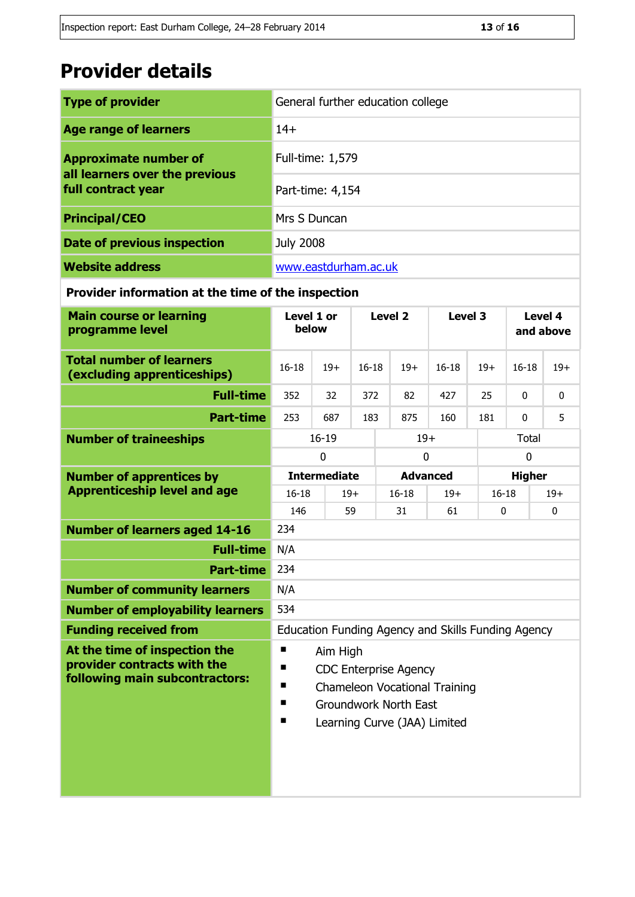## **Provider details**

| <b>Type of provider</b>                              | General further education college |  |  |
|------------------------------------------------------|-----------------------------------|--|--|
| <b>Age range of learners</b>                         | $14+$                             |  |  |
| <b>Approximate number of</b>                         | Full-time: 1,579                  |  |  |
| all learners over the previous<br>full contract year | Part-time: 4,154                  |  |  |
| <b>Principal/CEO</b>                                 | Mrs S Duncan                      |  |  |
| Date of previous inspection                          | <b>July 2008</b>                  |  |  |
| <b>Website address</b>                               | www.eastdurham.ac.uk              |  |  |

#### **Provider information at the time of the inspection**

| <b>Main course or learning</b><br>programme level                                                                  | Level 1 or<br>below                                |                     | Level <sub>2</sub> |                 | Level 3   |                    | Level 4<br>and above |               |       |
|--------------------------------------------------------------------------------------------------------------------|----------------------------------------------------|---------------------|--------------------|-----------------|-----------|--------------------|----------------------|---------------|-------|
| <b>Total number of learners</b><br>(excluding apprenticeships)                                                     | $16 - 18$<br>$19+$                                 |                     | $16 - 18$          |                 | $19+$     | $16 - 18$          | $19+$                | $16 - 18$     | $19+$ |
| <b>Full-time</b>                                                                                                   | 352                                                | 32                  | 372                |                 | 82        | 427                | 25                   | 0             | 0     |
| <b>Part-time</b>                                                                                                   | 253                                                | 687                 | 183                |                 | 875       | 160                | 181                  | $\mathbf 0$   | 5     |
| <b>Number of traineeships</b>                                                                                      |                                                    | $16 - 19$           | $19+$              |                 |           |                    | Total                |               |       |
|                                                                                                                    | $\mathbf 0$                                        |                     | 0                  |                 |           |                    | $\mathbf 0$          |               |       |
| <b>Number of apprentices by</b>                                                                                    |                                                    | <b>Intermediate</b> |                    | <b>Advanced</b> |           |                    |                      | <b>Higher</b> |       |
| <b>Apprenticeship level and age</b>                                                                                | $16 - 18$                                          |                     | $19+$              |                 | $16 - 18$ | $19+$              | $16 - 18$            |               | $19+$ |
|                                                                                                                    | 146                                                |                     | 59<br>31           |                 |           | 61<br>$\mathbf{0}$ |                      |               | 0     |
| <b>Number of learners aged 14-16</b>                                                                               | 234                                                |                     |                    |                 |           |                    |                      |               |       |
| <b>Full-time</b>                                                                                                   | N/A                                                |                     |                    |                 |           |                    |                      |               |       |
| <b>Part-time</b>                                                                                                   | 234                                                |                     |                    |                 |           |                    |                      |               |       |
| <b>Number of community learners</b>                                                                                | N/A                                                |                     |                    |                 |           |                    |                      |               |       |
| <b>Number of employability learners</b>                                                                            | 534                                                |                     |                    |                 |           |                    |                      |               |       |
| <b>Funding received from</b>                                                                                       | Education Funding Agency and Skills Funding Agency |                     |                    |                 |           |                    |                      |               |       |
| At the time of inspection the<br>п<br>Aim High<br>provider contracts with the<br>п<br><b>CDC Enterprise Agency</b> |                                                    |                     |                    |                 |           |                    |                      |               |       |
| following main subcontractors:                                                                                     | п<br><b>Chameleon Vocational Training</b>          |                     |                    |                 |           |                    |                      |               |       |
|                                                                                                                    | п<br><b>Groundwork North East</b>                  |                     |                    |                 |           |                    |                      |               |       |
|                                                                                                                    | п<br>Learning Curve (JAA) Limited                  |                     |                    |                 |           |                    |                      |               |       |
|                                                                                                                    |                                                    |                     |                    |                 |           |                    |                      |               |       |
|                                                                                                                    |                                                    |                     |                    |                 |           |                    |                      |               |       |
|                                                                                                                    |                                                    |                     |                    |                 |           |                    |                      |               |       |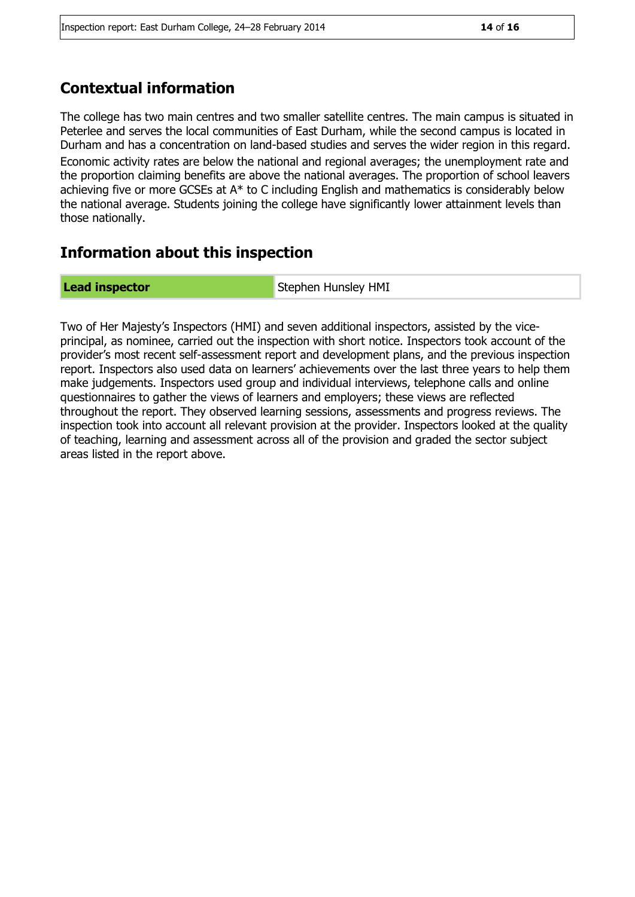#### **Contextual information**

The college has two main centres and two smaller satellite centres. The main campus is situated in Peterlee and serves the local communities of East Durham, while the second campus is located in Durham and has a concentration on land-based studies and serves the wider region in this regard. Economic activity rates are below the national and regional averages; the unemployment rate and the proportion claiming benefits are above the national averages. The proportion of school leavers achieving five or more GCSEs at A\* to C including English and mathematics is considerably below the national average. Students joining the college have significantly lower attainment levels than those nationally.

#### **Information about this inspection**

**Lead inspector** Stephen Hunsley HMI

Two of Her Majesty's Inspectors (HMI) and seven additional inspectors, assisted by the viceprincipal, as nominee, carried out the inspection with short notice. Inspectors took account of the provider's most recent self-assessment report and development plans, and the previous inspection report. Inspectors also used data on learners' achievements over the last three years to help them make judgements. Inspectors used group and individual interviews, telephone calls and online questionnaires to gather the views of learners and employers; these views are reflected throughout the report. They observed learning sessions, assessments and progress reviews. The inspection took into account all relevant provision at the provider. Inspectors looked at the quality of teaching, learning and assessment across all of the provision and graded the sector subject areas listed in the report above.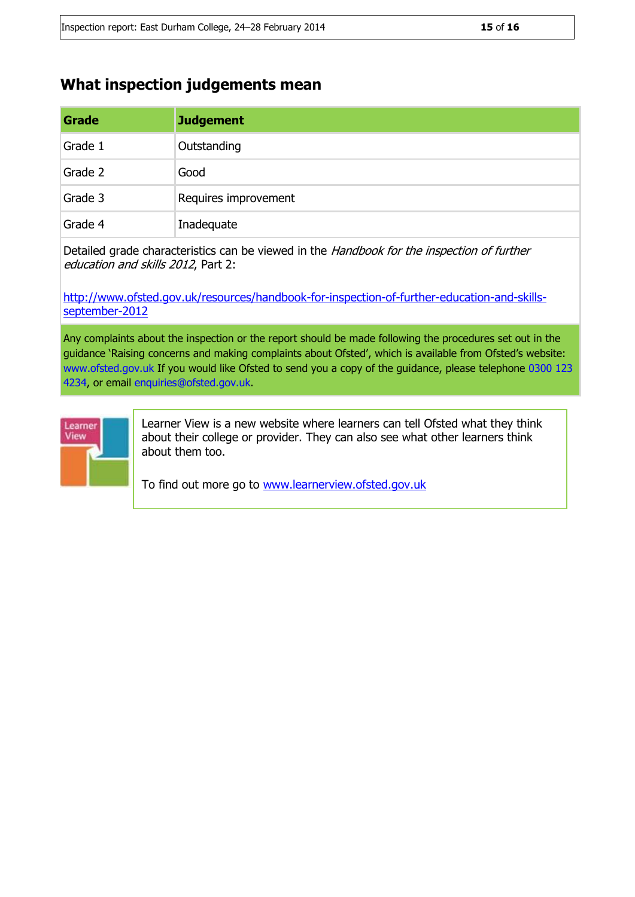#### **What inspection judgements mean**

| Grade   | <b>Judgement</b>     |
|---------|----------------------|
| Grade 1 | Outstanding          |
| Grade 2 | Good                 |
| Grade 3 | Requires improvement |
| Grade 4 | Inadequate           |

Detailed grade characteristics can be viewed in the Handbook for the inspection of further education and skills 2012, Part 2:

[http://www.ofsted.gov.uk/resources/handbook-for-inspection-of-further-education-and-skills](http://www.ofsted.gov.uk/resources/handbook-for-inspection-of-further-education-and-skills-september-2012)[september-2012](http://www.ofsted.gov.uk/resources/handbook-for-inspection-of-further-education-and-skills-september-2012)

Any complaints about the inspection or the report should be made following the procedures set out in the guidance 'Raising concerns and making complaints about Ofsted', which is available from Ofsted's website: www.ofsted.gov.uk If you would like Ofsted to send you a copy of the guidance, please telephone 0300 123 4234, or email enquiries@ofsted.gov.uk.



Learner View is a new website where learners can tell Ofsted what they think about their college or provider. They can also see what other learners think about them too.

To find out more go to [www.learnerview.ofsted.gov.uk](http://www.learnerview.ofsted.gov.uk/)